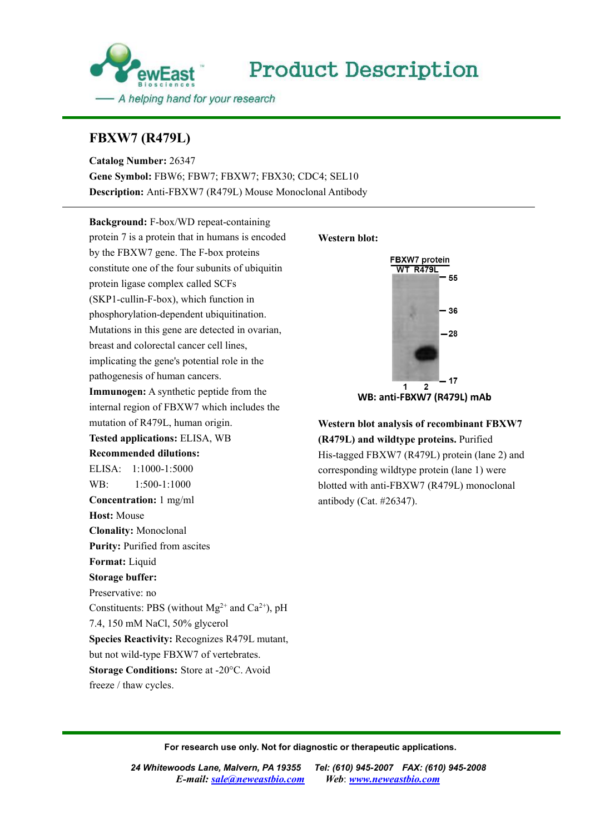

## **FBXW7 (R479L)**

**Catalog Number:** 26347 **Gene Symbol:** FBW6; FBW7; FBXW7; FBX30; CDC4; SEL10 **Description:** Anti-FBXW7 (R479L) Mouse Monoclonal Antibody

**Background:** F-box/WD repeat-containing protein 7 is a [protein](http://en.wikipedia.org/wiki/Protein) that in humans is encoded by the FBXW7 [gene.](http://en.wikipedia.org/wiki/Gene) The F-box proteins constitute one of the four subunits of ubiquitin protein ligase complex called SCFs (SKP1-cullin-F-box), which function in phosphorylation-dependent ubiquitination. Mutations in this gene are detected in ovarian, breast and colorectal cancer cell lines, implicating the gene's potential role in the pathogenesis of human cancers. **Immunogen:** A synthetic peptide from the **Example 1** and the **VI and the UP** and the **VI and the UP** and the **VI and the VI and the VI and the VI and the VI and the VI and the VI and the VI and the VI and the VI and the V** internal region of FBXW7 which includes the mutation of R479L, human origin. **Tested applications:** ELISA, WB **Recommended dilutions:** ELISA: 1:1000-1:5000 WB: 1:500-1:1000 **Concentration:** 1 mg/ml **Host:** Mouse **Clonality:** Monoclonal **Purity:** Purified from ascites **Format:** Liquid **Storage buffer:** Preservative: no Constituents: PBS (without  $Mg^{2+}$  and  $Ca^{2+}$ ), pH 7.4, 150 mM NaCl, 50% glycerol **Species Reactivity:** Recognizes R479L mutant, but not wild-type FBXW7 of vertebrates. **Storage Conditions:** Store at -20°C. Avoid freeze / thaw cycles.

## **Western blot:**



**Western blot analysis of recombinant FBXW7 (R479L) and wildtype proteins.** Purified His-tagged FBXW7 (R479L) protein (lane 2) and corresponding wildtype protein (lane 1) were blotted with anti-FBXW7 (R479L) monoclonal antibody (Cat. #26347).

**For research use only. Not for diagnostic or therapeutic applications.**